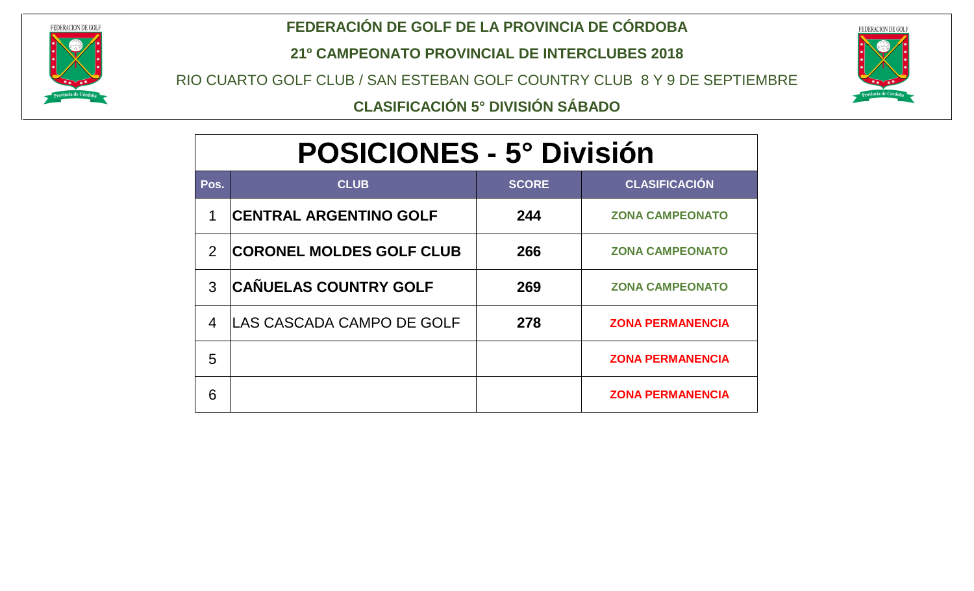

### **FEDERACIÓN DE GOLF DE LA PROVINCIA DE CÓRDOBA**

**21º CAMPEONATO PROVINCIAL DE INTERCLUBES 2018**

RIO CUARTO GOLF CLUB / SAN ESTEBAN GOLF COUNTRY CLUB 8 Y 9 DE SEPTIEMBRE



**CLASIFICACIÓN 5° DIVISIÓN SÁBADO**

# **POSICIONES - 5° División**

| Pos.                     | <b>CLUB</b>                      | <b>SCORE</b> | <b>CLASIFICACIÓN</b>    |
|--------------------------|----------------------------------|--------------|-------------------------|
| 1                        | <b>CENTRAL ARGENTINO GOLF</b>    | 244          | <b>ZONA CAMPEONATO</b>  |
| $\overline{2}$           | <b>CORONEL MOLDES GOLF CLUB</b>  | 266          | <b>ZONA CAMPEONATO</b>  |
| 3                        | <b>CAÑUELAS COUNTRY GOLF</b>     | 269          | <b>ZONA CAMPEONATO</b>  |
| $\overline{\mathcal{A}}$ | <b>LAS CASCADA CAMPO DE GOLF</b> | 278          | <b>ZONA PERMANENCIA</b> |
| 5                        |                                  |              | <b>ZONA PERMANENCIA</b> |
| 6                        |                                  |              | <b>ZONA PERMANENCIA</b> |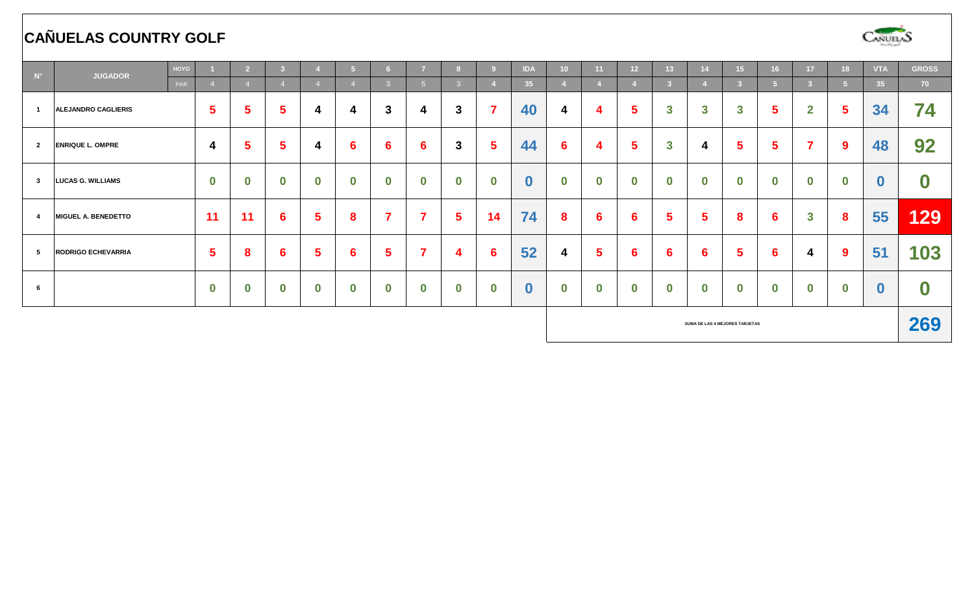## **CAÑUELAS COUNTRY GOLF**



| $N^{\circ}$    | HOYO<br><b>JUGADOR</b>         |                  | D.               |                  |                  |                  | 6.           |                         |                  |                         | <b>IDA</b>       | 10 <sup>°</sup>  | 11               | 12 <sup>2</sup> | 13.          |                         | 15                      | 16 <sup>1</sup> | 17                      | 18 <sup>2</sup>  | <b>VTA</b>      | <b>GROSS</b>     |
|----------------|--------------------------------|------------------|------------------|------------------|------------------|------------------|--------------|-------------------------|------------------|-------------------------|------------------|------------------|------------------|-----------------|--------------|-------------------------|-------------------------|-----------------|-------------------------|------------------|-----------------|------------------|
|                | PAR                            |                  |                  |                  |                  |                  | -3.          | 5 <sup>5</sup>          | 3                |                         | 35               |                  |                  |                 |              |                         |                         | -5              | -31                     | 5.               | 35 <sub>1</sub> | 70               |
|                | <b>ALEJANDRO CAGLIERIS</b>     | 5                | 5                | ь                | 4                | 4                | $\mathbf{3}$ | 4                       | $\mathbf{3}$     | 7                       | 40               | 4                | 4                | 5               | 3            | $\mathbf{3}$            | $\overline{\mathbf{3}}$ | 5               | $\mathbf{2}$            | $5\phantom{.0}$  | 34              | 74               |
| $\overline{2}$ | <b>ENRIQUE L. OMPRE</b>        | 4                | 5                | 5                | 4                | $6\phantom{1}6$  | 6            | 6                       | $\mathbf{3}$     | $\overline{\mathbf{5}}$ | 44               | $6\phantom{1}6$  | 4                | 5               | $\mathbf{3}$ | 4                       | 5                       | 5               | $\overline{\mathbf{z}}$ | $\boldsymbol{9}$ | 48              | 92               |
| $\mathbf{3}$   | <b>LUCAS G. WILLIAMS</b>       | $\bf{0}$         | $\bf{0}$         | $\bf{0}$         | $\bf{0}$         | $\boldsymbol{0}$ | $\bf{0}$     | $\bf{0}$                | $\boldsymbol{0}$ | $\bf{0}$                | $\bf{0}$         | $\boldsymbol{0}$ | $\boldsymbol{0}$ | $\bf{0}$        | $\bf{0}$     | $\boldsymbol{0}$        | $\bf{0}$                | $\bf{0}$        | $\bf{0}$                | 0                | $\bf{0}$        | $\boldsymbol{0}$ |
| $\overline{4}$ | <b>MIGUEL A. BENEDETTO</b>     | 11               | 11               | 6                | 5                | 8                | 7            | $\overline{7}$          | 5                | 14                      | 74               | 8                | $6 \,$           | 6               | 5            | $\overline{\mathbf{5}}$ | 8                       | 6               | $\mathbf{3}$            | 8                | 55              | 129              |
| 5              | <b>RODRIGO ECHEVARRIA</b>      | 5                | 8                | 6                | 5                | 6                | 5            | $\overline{\mathbf{7}}$ | 4                | 6                       | 52               | 4                | $5\overline{)}$  | 6               | 6            | $6\phantom{1}6$         | 5                       | $6\phantom{1}6$ | 4                       | $\boldsymbol{9}$ | 51              | 103              |
| 6              |                                | $\boldsymbol{0}$ | $\boldsymbol{0}$ | $\boldsymbol{0}$ | $\boldsymbol{0}$ | $\mathbf 0$      | $\bf{0}$     | $\bf{0}$                | $\boldsymbol{0}$ | $\boldsymbol{0}$        | $\boldsymbol{0}$ | $\bf{0}$         | $\boldsymbol{0}$ | $\bf{0}$        | $\bf{0}$     | $\boldsymbol{0}$        | $\bf{0}$                | $\bf{0}$        | $\bf{0}$                | $\bf{0}$         | $\bf{0}$        | $\boldsymbol{0}$ |
|                | SUMA DE LAS 4 MEJORES TARJETAS |                  |                  |                  |                  |                  |              |                         |                  |                         |                  |                  |                  |                 | 269          |                         |                         |                 |                         |                  |                 |                  |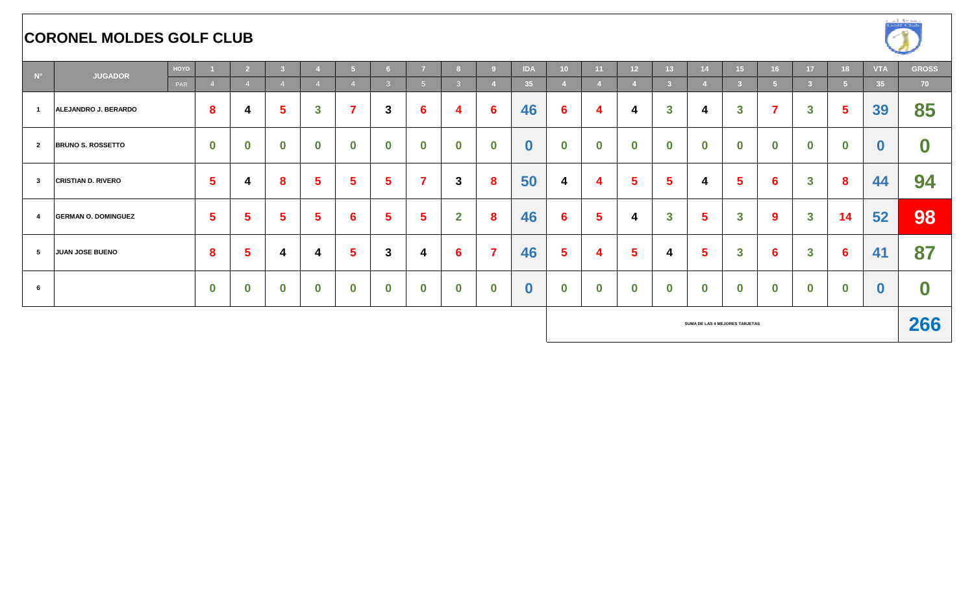#### **CORONEL MOLDES GOLF CLUB**



| $\mathbf{N}^\circ$ | HOYO<br><b>JUGADOR</b>     |  |                  |                  |                  |              |                  | ີດ              |                 |                  |          | <b>IDA</b>       | 10 <sup>°</sup>  | 11               | 12 <sup>2</sup>                | 13 <sup>°</sup> |          | 15           | 16               | 17 <sup>2</sup> | 18               | <b>VTA</b>      | <b>GROSS</b>     |
|--------------------|----------------------------|--|------------------|------------------|------------------|--------------|------------------|-----------------|-----------------|------------------|----------|------------------|------------------|------------------|--------------------------------|-----------------|----------|--------------|------------------|-----------------|------------------|-----------------|------------------|
|                    | PAR                        |  |                  |                  |                  |              |                  | $\overline{3}$  | 5 <sup>5</sup>  | 3.               |          | 35               |                  |                  |                                |                 |          |              | ы                | -3              |                  | 35 <sub>1</sub> | 70               |
| $\overline{1}$     | ALEJANDRO J. BERARDO       |  | 8                | 4                | 5                | $\mathbf{3}$ | $\overline{7}$   | 3               | $6\phantom{1}6$ | 4                | 6        | 46               | $6\phantom{1}$   | 4                | 4                              | $\mathbf{3}$    | 4        | $\mathbf{3}$ | $\overline{7}$   | $\mathbf{3}$    | 5                | 39              | 85               |
| $\overline{2}$     | <b>BRUNO S. ROSSETTO</b>   |  | $\boldsymbol{0}$ | $\boldsymbol{0}$ | $\bf{0}$         | $\bf{0}$     | $\boldsymbol{0}$ | $\bf{0}$        | $\bf{0}$        | $\boldsymbol{0}$ | $\bf{0}$ | $\boldsymbol{0}$ | $\mathbf 0$      | $\bf{0}$         | $\bf{0}$                       | $\bf{0}$        | $\bf{0}$ | $\bf{0}$     | $\boldsymbol{0}$ | $\bf{0}$        | $\boldsymbol{0}$ | $\bf{0}$        | $\boldsymbol{0}$ |
| $\mathbf{3}$       | <b>CRISTIAN D. RIVERO</b>  |  | 5                | 4                | 8                | 5            | 5                | $5\phantom{.0}$ | ⇁               | $\mathbf{3}$     | 8        | 50               | 4                | 4                | 5                              | 5               | 4        | 5            | 6                | $\mathbf{3}$    | 8                | 44              | 94               |
| $\overline{4}$     | <b>GERMAN O. DOMINGUEZ</b> |  | 5                | 5                | Ð                | 5            | $6\phantom{1}6$  | 5               | 5               | $\overline{2}$   | 8        | 46               | $6\phantom{1}$   | $5\phantom{.0}$  | 4                              | $\mathbf{3}$    | 5        | $\mathbf{3}$ | $\boldsymbol{9}$ | $\mathbf{3}$    | 14               | 52              | 98               |
| $5^{\circ}$        | JUAN JOSE BUENO            |  | 8                | 5                | 4                | 4            | $5\phantom{1}$   | 3               | 4               | $6\phantom{1}6$  |          | 46               | $5\phantom{.0}$  | 4                | 5                              | 4               | 5        | $\mathbf{3}$ | 6                | $\mathbf{3}$    | 6                | 41              | 87               |
| 6                  |                            |  | $\bf{0}$         | $\bf{0}$         | $\boldsymbol{0}$ | $\bf{0}$     | $\boldsymbol{0}$ | $\bf{0}$        | $\mathbf 0$     | $\boldsymbol{0}$ | $\bf{0}$ | $\boldsymbol{0}$ | $\boldsymbol{0}$ | $\boldsymbol{0}$ | $\bf{0}$                       | $\bf{0}$        | $\bf{0}$ | $\bf{0}$     | $\boldsymbol{0}$ | $\bf{0}$        | $\bf{0}$         |                 | $\mathbf 0$      |
|                    |                            |  |                  |                  |                  |              |                  |                 |                 |                  |          |                  |                  |                  | SUMA DE LAS 4 MEJORES TARJETAS |                 |          |              |                  |                 | 266              |                 |                  |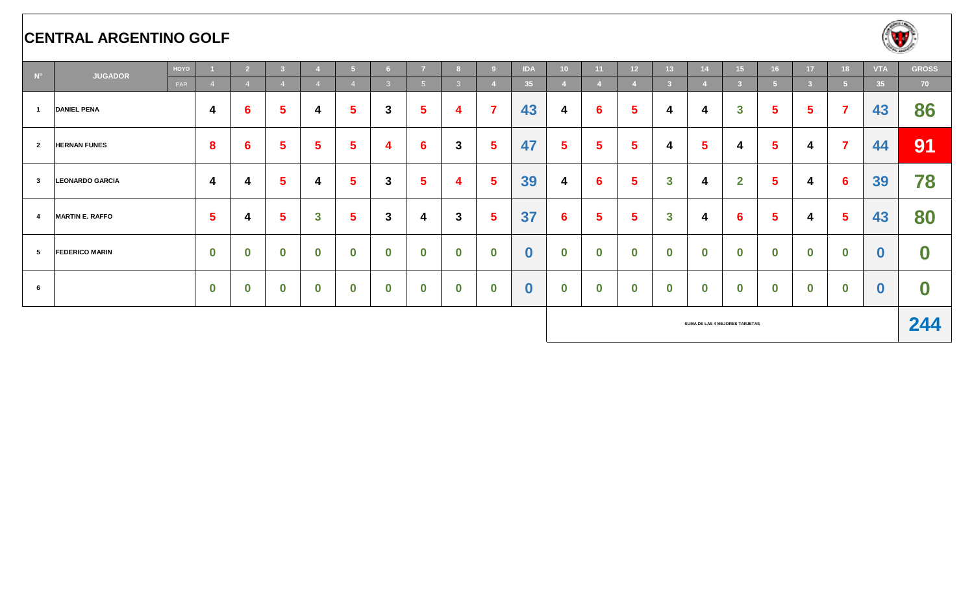#### **CENTRAL ARGENTINO GOLF**



| $N^{\circ}$    | <b>JUGADOR</b>         | HOYO |                | -2 |          |                         | ю                | 6.               | $\overline{7}$   |               |                         | <b>IDA</b>       | 10 <sup>°</sup>  | -11              | 12 <sup>2</sup> | 13 <sup>1</sup>                |                         | 15 <sub>1</sub> | 16                      | 17 <sup>2</sup>         | 18       | <b>VTA</b>      | <b>GROSS</b>     |
|----------------|------------------------|------|----------------|----|----------|-------------------------|------------------|------------------|------------------|---------------|-------------------------|------------------|------------------|------------------|-----------------|--------------------------------|-------------------------|-----------------|-------------------------|-------------------------|----------|-----------------|------------------|
|                | PAR                    |      |                |    |          |                         |                  | $\mathbf{3}$     | $-5$             | $\mathcal{R}$ |                         | 35               |                  |                  |                 | -2.                            |                         |                 | -5                      | $\overline{\mathbf{3}}$ | 5.       | 35 <sub>1</sub> | 70               |
| $\overline{1}$ | <b>DANIEL PENA</b>     |      | 4              | 6  | b.       | 4                       | $5\phantom{a}$   | 3                | $5\phantom{1}$   | 4             |                         | 43               | 4                | 6                | $5\phantom{1}$  | 4                              | 4                       | $\mathbf{3}$    | $\overline{\mathbf{5}}$ | 5                       | 7        | 43              | 86               |
| $\overline{2}$ | <b>HERNAN FUNES</b>    |      | 8              | 6  | b.       | 5                       | $5\phantom{a}$   | 4                | $6\phantom{1}6$  | $\mathbf{3}$  | Ð.                      | 47               | $5\phantom{.0}$  | $5\phantom{.0}$  | 5               | 4                              | $\overline{\mathbf{5}}$ | 4               | $5\phantom{a}$          | 4                       | 7        | 44              | 91               |
| $\mathbf{3}$   | <b>LEONARDO GARCIA</b> |      | 4              | 4  | 5        | 4                       | $5\phantom{a}$   | 3                | $5\phantom{1}$   | 4             | 5                       | 39               | 4                | 6                | 5               | $\mathbf{3}$                   | 4                       | $\mathbf{2}$    | $5\phantom{a}$          | 4                       | 6        | 39              | 78               |
| $\overline{4}$ | <b>MARTIN E. RAFFO</b> |      | $5\phantom{1}$ | 4  | 5        | $\overline{\mathbf{3}}$ | $5\phantom{1}$   | 3                | 4                | $\mathbf{3}$  | $\overline{\mathbf{5}}$ | 37               | $6\phantom{1}6$  | $5\phantom{.0}$  | 5               | $\mathbf{3}$                   | 4                       | 6               | $\overline{\mathbf{5}}$ | 4                       | 5        | 43              | 80               |
| 5              | <b>FEDERICO MARIN</b>  |      | $\mathbf 0$    | 0  | $\bf{0}$ | $\mathbf 0$             | $\boldsymbol{0}$ | $\boldsymbol{0}$ | $\boldsymbol{0}$ | $\bf{0}$      | $\bf{0}$                | $\bf{0}$         | $\boldsymbol{0}$ | $\boldsymbol{0}$ | $\bf{0}$        | $\bf{0}$                       | $\bf{0}$                | $\bf{0}$        | $\boldsymbol{0}$        | $\bf{0}$                | $\bf{0}$ | $\bf{0}$        | $\boldsymbol{0}$ |
| 6              |                        |      | $\bf{0}$       | 0  | $\bf{0}$ | $\boldsymbol{0}$        | $\mathbf 0$      | $\bf{0}$         | $\boldsymbol{0}$ | $\bf{0}$      | $\bf{0}$                | $\boldsymbol{0}$ | $\mathbf 0$      | $\bf{0}$         | $\mathbf 0$     | $\bf{0}$                       | $\bf{0}$                | $\bf{0}$        | $\bf{0}$                | $\bf{0}$                | $\bf{0}$ | $\bf{0}$        | $\boldsymbol{0}$ |
|                |                        |      |                |    |          |                         |                  |                  |                  |               |                         |                  |                  |                  |                 | SUMA DE LAS 4 MEJORES TARJETAS |                         |                 |                         |                         |          | 244             |                  |